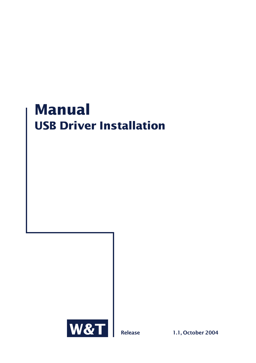# **Manual USB Driver Installation**



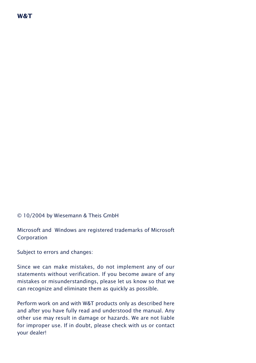

# © 10/2004 by Wiesemann & Theis GmbH

Microsoft and Windows are registered trademarks of Microsoft Corporation

Subject to errors and changes:

Since we can make mistakes, do not implement any of our statements without verification. If you become aware of any mistakes or misunderstandings, please let us know so that we can recognize and eliminate them as quickly as possible.

Perform work on and with W&T products only as described here and after you have fully read and understood the manual. Any other use may result in damage or hazards. We are not liable for improper use. If in doubt, please check with us or contact your dealer!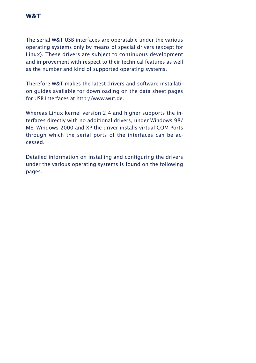The serial W&T USB interfaces are operatable under the various operating systems only by means of special drivers (except for Linux). These drivers are subject to continuous development and improvement with respect to their technical features as well as the number and kind of supported operating systems.

Therefore W&T makes the latest drivers and software installation guides available for downloading on the data sheet pages for USB Interfaces at http://www.wut.de.

Whereas Linux kernel version 2.4 and higher supports the interfaces directly with no additional drivers, under Windows 98/ ME, Windows 2000 and XP the driver installs virtual COM Ports through which the serial ports of the interfaces can be accessed.

Detailed information on installing and configuring the drivers under the various operating systems is found on the following pages.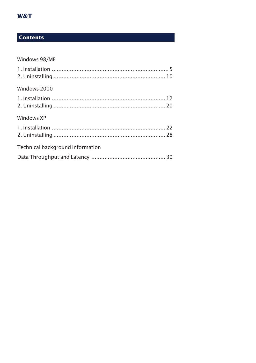# W&T

# **Contents**

# Windows 98/ME

| Windows 2000                     |  |
|----------------------------------|--|
|                                  |  |
|                                  |  |
| Windows XP                       |  |
|                                  |  |
|                                  |  |
| Technical background information |  |
|                                  |  |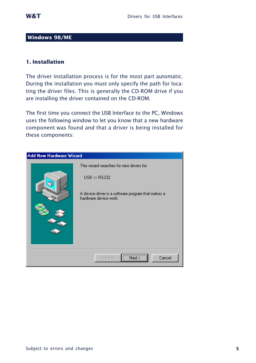# <span id="page-4-0"></span>**Windows 98/ME**

# **1. Installation**

The driver installation process is for the most part automatic. During the installation you must only specify the path for locating the driver files. This is generally the CD-ROM drive if you are installing the driver contained on the CD-ROM.

The first time you connect the USB Interface to the PC, Windows uses the following window to let you know that a new hardware component was found and that a driver is being installed for these components:

| Add New Hardware Wizard |                                                                                                                                                         |
|-------------------------|---------------------------------------------------------------------------------------------------------------------------------------------------------|
| а                       | This wizard searches for new drivers for:<br>$USB \leftrightarrow$ RS232<br>A device driver is a software program that makes a<br>hardware device work. |
|                         | Next<br>Cancel<br>< Back                                                                                                                                |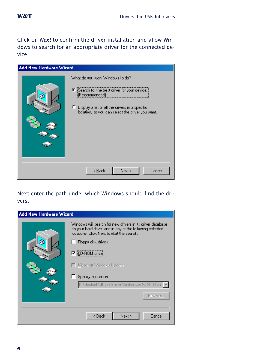

Click on *Next* to confirm the driver installation and allow Windows to search for an appropriate driver for the connected device:



# Next enter the path under which Windows should find the drivers:

| <b>Add New Hardware Wizard</b> |                                                                                                                                                                                                                                                                                                                                        |
|--------------------------------|----------------------------------------------------------------------------------------------------------------------------------------------------------------------------------------------------------------------------------------------------------------------------------------------------------------------------------------|
|                                | Windows will search for new drivers in its driver database<br>on your hard drive, and in any of the following selected<br>locations. Click Next to start the search.<br>Floppy disk drives<br><b>▽ ICD-ROM drive</b><br>□ Microsoft Windows Update<br>Specify a location:<br>D:\deutsch\40 pci-karten\treiber win 9x 2000 xp<br>Browse |
|                                | Next ><br>< <u>B</u> ack<br>Cancel                                                                                                                                                                                                                                                                                                     |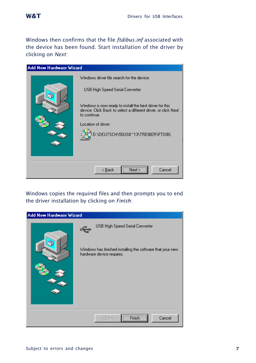Windows then confirms that the file *ftdibus.inf* associated with the device has been found. Start installation of the driver by clicking on *Next:*



Windows copies the required files and then prompts you to end the driver installation by clicking on *Finish*:

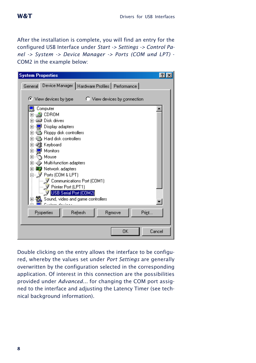After the installation is complete, you will find an entry for the configured USB Interface under *Start -> Settings -> Control Panel -> System -> Device Manager -> Ports (COM und LPT)* - COM2 in the example below:



Double clicking on the entry allows the interface to be configured, whereby the values set under *Port Settings* are generally overwritten by the configuration selected in the corresponding application. Of interest in this connection are the possibilities provided under *Advanced...* for changing the COM port assigned to the interface and adjusting the Latency Timer (see technical background information).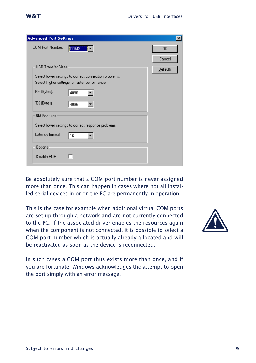$\overline{\mathbf{x}}$ 

ΠK. Cancel

Defaults

| Be absolutely sure that a COM port number is never assigned      |
|------------------------------------------------------------------|
| more than once. This can happen in cases where not all instal-   |
| led serial devices in or on the PC are permanently in operation. |

This is the case for example when additional virtual COM ports are set up through a network and are not currently connected to the PC. If the associated driver enables the resources again when the component is not connected, it is possible to select a COM port number which is actually already allocated and will be reactivated as soon as the device is reconnected.

In such cases a COM port thus exists more than once, and if you are fortunate, Windows acknowledges the attempt to open the port simply with an error message.





<span id="page-8-0"></span>**Advanced Port Settings** 

**LISB Transfer Sizes** 

RX (Bytes):

TX (Bytes):

**BM Features** 

Latency (msec):

Options Disable PNP  $\overline{\text{COM2}}$   $\overline{\phantom{1}}$ 

Select lower settings to correct connection problems. Select higher settings for faster performance.

 $\blacktriangledown$ 

 $\overline{\phantom{0}}$ 

 $\overline{\phantom{0}}$ 

4096

4096

Select lower settings to correct response problems.

 $\sqrt{16}$ 

г

COM Port Number: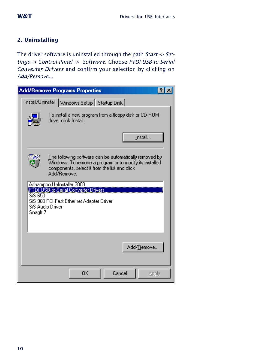# **2. Uninstalling**

The driver software is uninstalled through the path *Start -> Settings -> Control Panel -> Software.* Choose *FTDI USB-to-Serial Converter Drivers* and confirm your selection by clicking on *Add/Remove...*

| <b>Add/Remove Programs Properties</b>          |                                                                                                                                                                                   |  |
|------------------------------------------------|-----------------------------------------------------------------------------------------------------------------------------------------------------------------------------------|--|
| Install/Uninstall Windows Setup   Startup Disk |                                                                                                                                                                                   |  |
|                                                | To install a new program from a floppy disk or CD-ROM<br>drive, click Install.                                                                                                    |  |
|                                                | Install                                                                                                                                                                           |  |
|                                                | The following software can be automatically removed by<br>Windows. To remove a program or to modify its installed<br>components, select it from the list and click<br>Add/Remove. |  |
| SiS 650<br>Snaglt 7                            | Ashampoo Uninstaller 2000<br>FTDI USB-to-Serial Converter Drivers<br>SiS 900 PCI Fast Ethernet Adapter Driver<br>SiS Audio Driver                                                 |  |
|                                                | Add/Remove.                                                                                                                                                                       |  |
|                                                | Cancel<br>OK<br>Apply                                                                                                                                                             |  |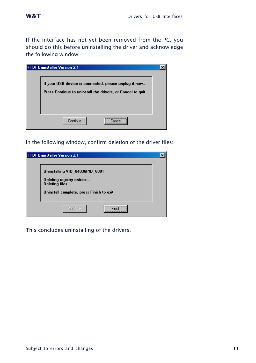If the interface has not yet been removed from the PC, you should do this before uninstalling the driver and acknowledge the following window:

| <b>FTDI Uninstaller Version 2.1</b>                                                                                  |  |
|----------------------------------------------------------------------------------------------------------------------|--|
| If your USB device is connected, please unplug it now<br>Press Continue to uninstall the drivers, or Cancel to quit. |  |
| <br>Continue<br><b>Lancel</b>                                                                                        |  |

In the following window, confirm deletion of the driver files:

| <b>FTDI Uninstaller Version 2.1</b>                                                                                        |  |
|----------------------------------------------------------------------------------------------------------------------------|--|
| Uninstalling VID_0403&PID_6001<br>Deleting registry entries<br>Deleting files<br>Uninstall complete, press Finish to exit. |  |
| Continue                                                                                                                   |  |

This concludes uninstalling of the drivers.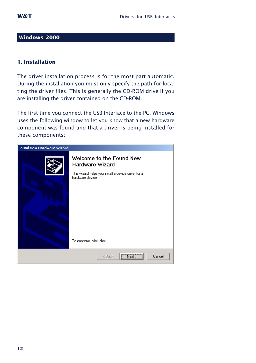#### <span id="page-11-0"></span>**Windows 2000**

# **1. Installation**

The driver installation process is for the most part automatic. During the installation you must only specify the path for locating the driver files. This is generally the CD-ROM drive if you are installing the driver contained on the CD-ROM.

The first time you connect the USB Interface to the PC, Windows uses the following window to let you know that a new hardware component was found and that a driver is being installed for these components:

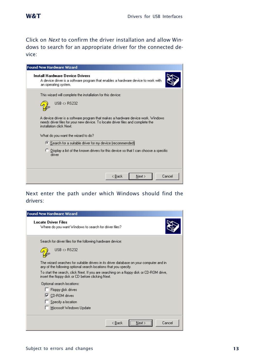Click on *Next* to confirm the driver installation and allow Windows to search for an appropriate driver for the connected device:

| <b>Found New Hardware Wizard</b>                                                                                                                                                                                                                                                                                                                                                                                                                                                                     |
|------------------------------------------------------------------------------------------------------------------------------------------------------------------------------------------------------------------------------------------------------------------------------------------------------------------------------------------------------------------------------------------------------------------------------------------------------------------------------------------------------|
| <b>Install Hardware Device Drivers</b><br>A device driver is a software program that enables a hardware device to work with<br>an operating system.                                                                                                                                                                                                                                                                                                                                                  |
| This wizard will complete the installation for this device:<br>$USB \Leftrightarrow$ RS232<br>A device driver is a software program that makes a hardware device work. Windows<br>needs driver files for your new device. To locate driver files and complete the<br>installation click Next.<br>What do you want the wizard to do?<br>C Search for a suitable driver for my device (recommended)<br>C Display a list of the known drivers for this device so that I can choose a specific<br>driver |
| Cancel<br>< <u>B</u> ack<br>Next >                                                                                                                                                                                                                                                                                                                                                                                                                                                                   |

# Next enter the path under which Windows should find the drivers:

| <b>Found New Hardware Wizard</b>                                                                                                                            |
|-------------------------------------------------------------------------------------------------------------------------------------------------------------|
| <b>Locate Driver Files</b><br>Where do you want Windows to search for driver files?                                                                         |
| Search for driver files for the following hardware device:                                                                                                  |
| $HSR \leftrightarrow$ RS232                                                                                                                                 |
| The wizard searches for suitable drivers in its driver database on your computer and in<br>any of the following optional search locations that you specify. |
| To start the search, click Next. If you are searching on a floppy disk or CD-ROM drive,<br>insert the floppy disk or CD before clicking Next.               |
| Optional search locations:                                                                                                                                  |
| Floppy disk drives                                                                                                                                          |
| $\nabla$ CD-ROM drives                                                                                                                                      |
| $\Box$ Specify a location                                                                                                                                   |
| Microsoft Windows Update                                                                                                                                    |
| Cancel<br>< Back<br>Next :                                                                                                                                  |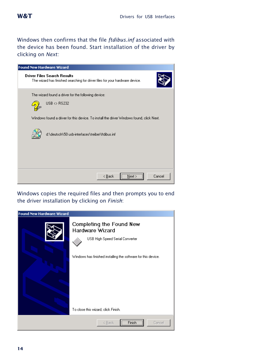Windows then confirms that the file *ftdibus.inf* associated with the device has been found. Start installation of the driver by clicking on *Next:*

| <b>Found New Hardware Wizard</b>                                                                                   |
|--------------------------------------------------------------------------------------------------------------------|
| <b>Driver Files Search Results</b><br>The wizard has finished searching for driver files for your hardware device. |
| The wizard found a driver for the following device:                                                                |
| $USB \Leftrightarrow$ RS232                                                                                        |
| Windows found a driver for this device. To install the driver Windows found, click Next.                           |
| d:\deutsch\50 usb-interfaces\treiber\ftdibus.inf                                                                   |
|                                                                                                                    |
|                                                                                                                    |
| $\overline{\text{Next}}$<br>Cancel<br>< <u>B</u> ack                                                               |

Windows copies the required files and then prompts you to end the driver installation by clicking on *Finish*:

| <b>Found New Hardware Wizard</b> |                                                                                                                                                                                        |
|----------------------------------|----------------------------------------------------------------------------------------------------------------------------------------------------------------------------------------|
|                                  | Completing the Found New<br>Hardware Wizard<br>USB High Speed Serial Converter<br>Windows has finished installing the software for this device.<br>To close this wizard, click Finish. |
|                                  |                                                                                                                                                                                        |
|                                  | Finish<br>Cancel<br>< Back                                                                                                                                                             |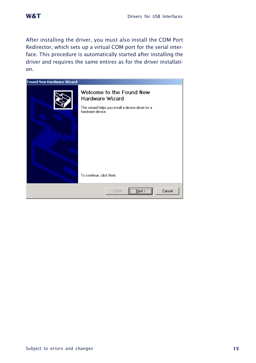After installing the driver, you must also install the COM Port Redirector, which sets up a virtual COM port for the serial interface. This procedure is automatically started after installing the driver and requires the same entires as for the driver installation.

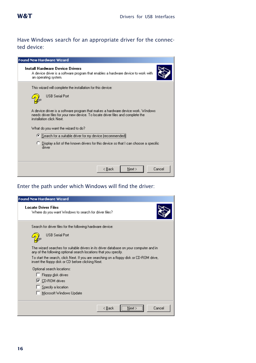# Have Windows search for an appropriate driver for the connected device:

| <b>Found New Hardware Wizard</b>                                                                                                                                                                                                      |  |
|---------------------------------------------------------------------------------------------------------------------------------------------------------------------------------------------------------------------------------------|--|
| <b>Install Hardware Device Drivers</b><br>A device driver is a software program that enables a hardware device to work with<br>an operating system.                                                                                   |  |
| This wizard will complete the installation for this device:<br><b>HSB Serial Port</b>                                                                                                                                                 |  |
| A device driver is a software program that makes a hardware device work. Windows<br>needs driver files for your new device. To locate driver files and complete the<br>installation click Next.<br>What do you want the wizard to do? |  |
| C Search for a suitable driver for my device (recommended)                                                                                                                                                                            |  |
| C Display a list of the known drivers for this device so that I can choose a specific<br>driver                                                                                                                                       |  |
| Next ><br>Cancel<br>< Back                                                                                                                                                                                                            |  |

# Enter the path under which Windows will find the driver:

| <b>Found New Hardware Wizard</b>                                                                                                                            |
|-------------------------------------------------------------------------------------------------------------------------------------------------------------|
| <b>Locate Driver Files</b><br>Where do you want Windows to search for driver files?                                                                         |
| Search for driver files for the following hardware device:                                                                                                  |
| <b>USB Serial Port</b>                                                                                                                                      |
| The wizard searches for suitable drivers in its driver database on your computer and in<br>any of the following optional search locations that you specify. |
| To start the search, click Next. If you are searching on a floppy disk or CD-ROM drive,<br>insert the floppy disk or CD before clicking Next.               |
| Optional search locations:                                                                                                                                  |
| Floppy disk drives                                                                                                                                          |
| $\nabla$ CD-ROM drives                                                                                                                                      |
| $\Box$ Specify a location                                                                                                                                   |
| □ Microsoft Windows Update                                                                                                                                  |
| <br>Cancel<br>< Back<br>Next :                                                                                                                              |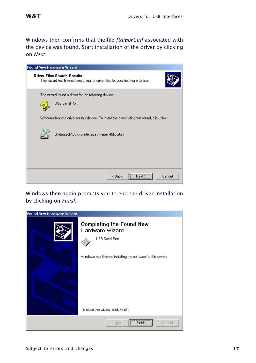Windows then confirms that the file *ftdiport.inf* associated with the device was found. Start installation of the driver by clicking on *Next:*



Windows then again prompts you to end the driver installation by clicking on *Finish*:

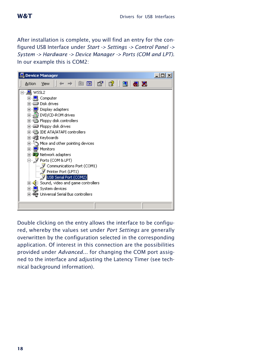After installation is complete, you will find an entry for the configured USB Interface under *Start -> Settings -> Control Panel -> System -> Hardware -> Device Manager -> Ports (COM and LPT)*. In our example this is COM2:



Double clicking on the entry allows the interface to be configured, whereby the values set under *Port Settings* are generally overwritten by the configuration selected in the corresponding application. Of interest in this connection are the possibilities provided under *Advanced...* for changing the COM port assigned to the interface and adjusting the Latency Timer (see technical background information).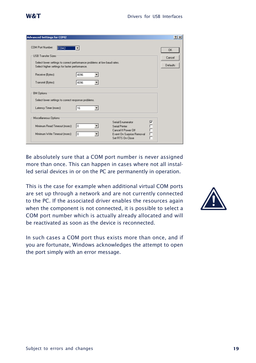

| <b>Advanced Settings for COM2</b>                                                                                                                                                                                           | 2x                                     |
|-----------------------------------------------------------------------------------------------------------------------------------------------------------------------------------------------------------------------------|----------------------------------------|
| COM Port Number:<br>COM <sub>2</sub><br><b>USB Transfer Sizes</b><br>Select lower settings to correct performance problems at low baud rates.<br>Select higher settings for faster performance.                             | <b>OK</b><br>Cancel<br><b>Defaults</b> |
| 4096<br>Receive (Bytes):<br>4096<br>Transmit (Bytes):                                                                                                                                                                       |                                        |
| <b>BM Options</b><br>Select lower settings to correct response problems.<br>16<br>Latency Timer (msec):                                                                                                                     |                                        |
| Miscellaneous Options<br>⊽<br>Serial Enumerator<br>Ē<br>I٥<br>Minimum Read Timeout (msec):<br>Serial Printer<br>Cancel If Power Off<br>Minimum Write Timeout (msec):<br>I٥<br>Event On Surprise Removal<br>Set RTS On Close |                                        |

Be absolutely sure that a COM port number is never assigned more than once. This can happen in cases where not all installed serial devices in or on the PC are permanently in operation.

This is the case for example when additional virtual COM ports are set up through a network and are not currently connected to the PC. If the associated driver enables the resources again when the component is not connected, it is possible to select a COM port number which is actually already allocated and will be reactivated as soon as the device is reconnected.



In such cases a COM port thus exists more than once, and if you are fortunate, Windows acknowledges the attempt to open the port simply with an error message.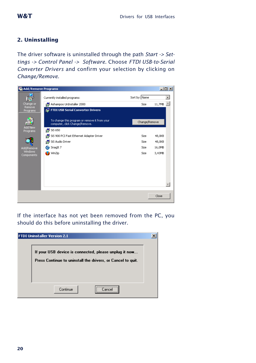# <span id="page-19-0"></span>**2. Uninstalling**

The driver software is uninstalled through the path *Start -> Settings -> Control Panel -> Software.* Choose *FTDI USB-to-Serial Converter Drivers* and confirm your selection by clicking on *Change/Remove.*



If the interface has not yet been removed from the PC, you should do this before uninstalling the driver.

| <b>FTDI Uninstaller Version 2.1</b>                                                                                  |  |
|----------------------------------------------------------------------------------------------------------------------|--|
| If your USB device is connected, please unplug it now<br>Press Continue to uninstall the drivers, or Cancel to quit. |  |
| <br>Continue                                                                                                         |  |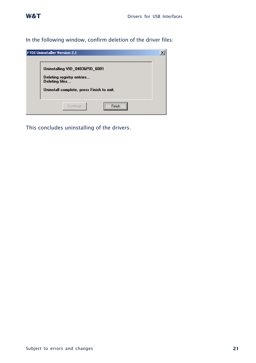<span id="page-20-0"></span>In the following window, confirm deletion of the driver files:

| <b>FTDI Uninstaller Version 2.1</b>                                                                                        |  |
|----------------------------------------------------------------------------------------------------------------------------|--|
| Uninstalling VID 0403&PID 6001<br>Deleting registry entries<br>Deleting files<br>Uninstall complete, press Finish to exit. |  |
| Continue<br>                                                                                                               |  |

This concludes uninstalling of the drivers.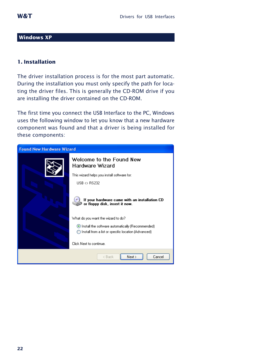#### **Windows XP**

# **1. Installation**

The driver installation process is for the most part automatic. During the installation you must only specify the path for locating the driver files. This is generally the CD-ROM drive if you are installing the driver contained on the CD-ROM.

The first time you connect the USB Interface to the PC, Windows uses the following window to let you know that a new hardware component was found and that a driver is being installed for these components:

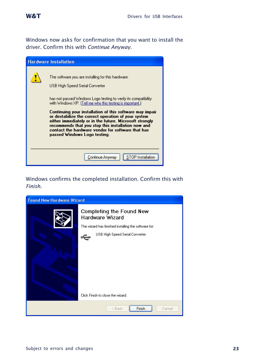Windows now asks for confirmation that you want to install the driver. Confirm this with *Continue Anyway*.



# Windows confirms the completed installation. Confirm this with *Finish*.

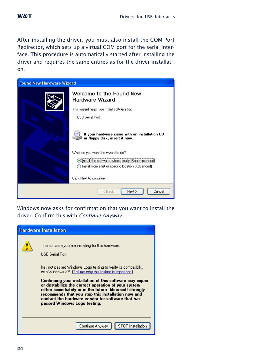After installing the driver, you must also install the COM Port Redirector, which sets up a virtual COM port for the serial interface. This procedure is automatically started after installing the driver and requires the same entires as for the driver installation.



Windows now asks for confirmation that you want to install the driver. Confirm this with *Continue Anyway*.

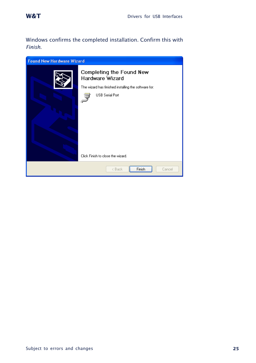Windows confirms the completed installation. Confirm this with *Finish*.

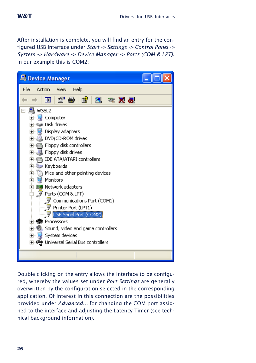After installation is complete, you will find an entry for the configured USB Interface under *Start -> Settings -> Control Panel -> System -> Hardware -> Device Manager -> Ports (COM & LPT)*. In our example this is COM2:



Double clicking on the entry allows the interface to be configured, whereby the values set under *Port Settings* are generally overwritten by the configuration selected in the corresponding application. Of interest in this connection are the possibilities provided under *Advanced...* for changing the COM port assigned to the interface and adjusting the Latency Timer (see technical background information).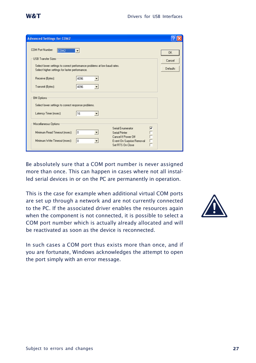$\overline{a}$ 

п

Г

 $\sqrt{2\sqrt{2}}$ 

 $\overline{\mathsf{nk}}$ 

Cancel

Defaults

| Be absolutely sure that a COM port number is never assigned      |
|------------------------------------------------------------------|
| more than once. This can happen in cases where not all instal-   |
| led serial devices in or on the PC are permanently in operation. |

Serial Enumerator

Cancel If Power Off

Set RTS On Close

Event On Surnrise Removal

Serial Printer

This is the case for example when additional virtual COM ports are set up through a network and are not currently connected to the PC. If the associated driver enables the resources again when the component is not connected, it is possible to select a COM port number which is actually already allocated and will be reactivated as soon as the device is reconnected.

In such cases a COM port thus exists more than once, and if you are fortunate, Windows acknowledges the attempt to open the port simply with an error message.

<span id="page-26-0"></span>

**Advanced Settings for COM2** 

USB Transfer Sizes

Receive (Bytes):

Transmit (Bytes):

Latency Timer (msec):

Miscellaneous Ontions

Minimum Read Timeout (msec):

Minimum Write Timeout (msec): n

**BM Options** 

COM Port Number: COM2

Select higher settings for faster performance.

Select lower settings to correct response problems.

Select lower settings to correct performance problems at low baud rates.

4096

4096

 $\sqrt{16}$ 

- 10

 $\blacktriangledown$ 

 $\overline{\phantom{a}}$ 

 $\overline{\phantom{a}}$ 

 $\overline{\phantom{a}}$ 

 $\overline{\phantom{a}}$ 

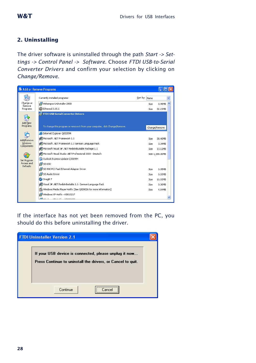# **2. Uninstalling**

The driver software is uninstalled through the path *Start -> Settings -> Control Panel -> Software.* Choose *FTDI USB-to-Serial Converter Drivers* and confirm your selection by clicking on *Change/Remove.*

|                        | Add or Remove Programs                                                                                            |               |                 |
|------------------------|-------------------------------------------------------------------------------------------------------------------|---------------|-----------------|
|                        | Currently installed programs:                                                                                     | Sort by: Name | $\ddotmark$     |
| Change or<br>Remove    | Ashampoo UnInstaller 2000                                                                                         | Size:         | 0.98MB          |
| Programs               | C Ethereal 0.10.6                                                                                                 | Size          | 32.23MB         |
| Add New<br>Programs    | FTDI USB Serial Converter Drivers<br>To change this program or remove it from your computer, click Change/Remove. |               | Change/Remove   |
|                        | F Internet Explorer Q832894                                                                                       |               |                 |
| <b>Add/Remove</b>      | Microsoft .NET Framework 1.1                                                                                      | Size          | 38.40MB         |
| Windows                | Microsoft .NET Framework 1.1 German Language Pack                                                                 | Size:         | 3.34MB          |
| Components             | ME Microsoft Visual J# .NET Redistributable Package 1.1                                                           | Size          | 13.12MB         |
|                        | Microsoft Visual Studio .NET Professional 2003 - Deutsch                                                          |               | Size 1,188.00MB |
| Set Program            | Outlook Express Update 0330994                                                                                    |               |                 |
| Access and<br>Defaults | 得 SiS 650                                                                                                         |               |                 |
|                        | SIS 900 PCI Fast Ethernet Adapter Driver                                                                          | Size:         | 0.05MB          |
|                        | SiS Audio Driver                                                                                                  | Size          | 0.03MB          |
|                        | Snaglt 7                                                                                                          | Size          | 16.03MB         |
|                        | Wisual J# .NET Redistributable 1.1- German Language Pack                                                          | Size          | 0.30MB          |
|                        | Windows Media Player Hotfix [See 0828026 for more information]                                                    | Size          | 4.84MR          |
|                        | Windows XP Hotfix - KB810217                                                                                      |               |                 |
|                        | dilur i unu ic unnocco                                                                                            |               |                 |

If the interface has not yet been removed from the PC, you should do this before uninstalling the driver.

| <b>FTDI Uninstaller Version 2.1</b>                                                                                  |  |
|----------------------------------------------------------------------------------------------------------------------|--|
| If your USB device is connected, please unplug it now<br>Press Continue to uninstall the drivers, or Cancel to quit. |  |
| <br>Continue<br>Cancel                                                                                               |  |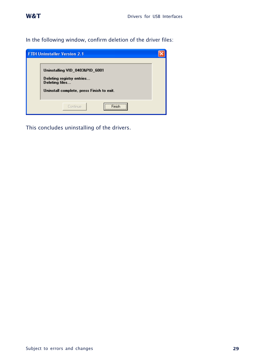<span id="page-28-0"></span>In the following window, confirm deletion of the driver files:

| <b>FTDI Uninstaller Version 2.1</b>                                                                                        |  |
|----------------------------------------------------------------------------------------------------------------------------|--|
| Uninstalling VID_0403&PID_6001<br>Deleting registry entries<br>Deleting files<br>Uninstall complete, press Finish to exit. |  |
| <br>Continue                                                                                                               |  |

This concludes uninstalling of the drivers.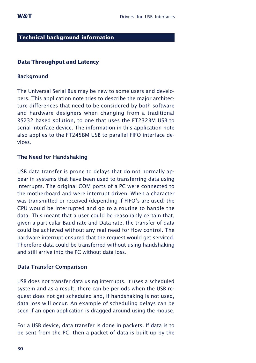#### **Technical background information**

#### **Data Throughput and Latency**

#### **Background**

The Universal Serial Bus may be new to some users and developers. This application note tries to describe the major architecture differences that need to be considered by both software and hardware designers when changing from a traditional RS232 based solution, to one that uses the FT232BM USB to serial interface device. The information in this application note also applies to the FT245BM USB to parallel FIFO interface devices.

#### **The Need for Handshaking**

USB data transfer is prone to delays that do not normally appear in systems that have been used to transferring data using interrupts. The original COM ports of a PC were connected to the motherboard and were interrupt driven. When a character was transmitted or received (depending if FIFO's are used) the CPU would be interrupted and go to a routine to handle the data. This meant that a user could be reasonably certain that, given a particular Baud rate and Data rate, the transfer of data could be achieved without any real need for flow control. The hardware interrupt ensured that the request would get serviced. Therefore data could be transferred without using handshaking and still arrive into the PC without data loss.

#### **Data Transfer Comparison**

USB does not transfer data using interrupts. It uses a scheduled system and as a result, there can be periods when the USB request does not get scheduled and, if handshaking is not used, data loss will occur. An example of scheduling delays can be seen if an open application is dragged around using the mouse.

For a USB device, data transfer is done in packets. If data is to be sent from the PC, then a packet of data is built up by the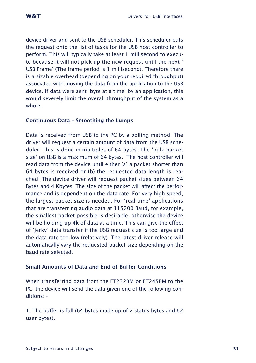device driver and sent to the USB scheduler. This scheduler puts the request onto the list of tasks for the USB host controller to perform. This will typically take at least 1 millisecond to execute because it will not pick up the new request until the next ' USB Frame' (The frame period is 1 millisecond). Therefore there is a sizable overhead (depending on your required throughput) associated with moving the data from the application to the USB device. If data were sent 'byte at a time' by an application, this would severely limit the overall throughput of the system as a whole.

#### **Continuous Data – Smoothing the Lumps**

Data is received from USB to the PC by a polling method. The driver will request a certain amount of data from the USB scheduler. This is done in multiples of 64 bytes. The 'bulk packet size' on USB is a maximum of 64 bytes. The host controller will read data from the device until either (a) a packet shorter than 64 bytes is received or (b) the requested data length is reached. The device driver will request packet sizes between 64 Bytes and 4 Kbytes. The size of the packet will affect the performance and is dependent on the data rate. For very high speed, the largest packet size is needed. For 'real-time' applications that are transferring audio data at 115200 Baud, for example, the smallest packet possible is desirable, otherwise the device will be holding up 4k of data at a time. This can give the effect of 'jerky' data transfer if the USB request size is too large and the data rate too low (relatively). The latest driver release will automatically vary the requested packet size depending on the baud rate selected.

# **Small Amounts of Data and End of Buffer Conditions**

When transferring data from the FT232BM or FT245BM to the PC, the device will send the data given one of the following conditions: -

1. The buffer is full (64 bytes made up of 2 status bytes and 62 user bytes).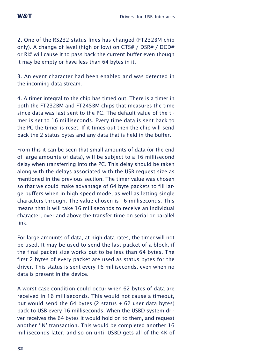2. One of the RS232 status lines has changed (FT232BM chip only). A change of level (high or low) on CTS# / DSR# / DCD# or RI# will cause it to pass back the current buffer even though it may be empty or have less than 64 bytes in it.

3. An event character had been enabled and was detected in the incoming data stream.

4. A timer integral to the chip has timed out. There is a timer in both the FT232BM and FT245BM chips that measures the time since data was last sent to the PC. The default value of the timer is set to 16 milliseconds. Every time data is sent back to the PC the timer is reset. If it times-out then the chip will send back the 2 status bytes and any data that is held in the buffer.

From this it can be seen that small amounts of data (or the end of large amounts of data), will be subject to a 16 millisecond delay when transferring into the PC. This delay should be taken along with the delays associated with the USB request size as mentioned in the previous section. The timer value was chosen so that we could make advantage of 64 byte packets to fill large buffers when in high speed mode, as well as letting single characters through. The value chosen is 16 milliseconds. This means that it will take 16 milliseconds to receive an individual character, over and above the transfer time on serial or parallel link.

For large amounts of data, at high data rates, the timer will not be used. It may be used to send the last packet of a block, if the final packet size works out to be less than 64 bytes. The first 2 bytes of every packet are used as status bytes for the driver. This status is sent every 16 milliseconds, even when no data is present in the device.

A worst case condition could occur when 62 bytes of data are received in 16 milliseconds. This would not cause a timeout, but would send the  $64$  bytes (2 status  $+62$  user data bytes) back to USB every 16 milliseconds. When the USBD system driver receives the 64 bytes it would hold on to them, and request another 'IN' transaction. This would be completed another 16 milliseconds later, and so on until USBD gets all of the 4K of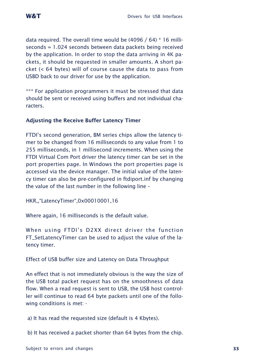data required. The overall time would be  $(4096 / 64) * 16$  milliseconds = 1.024 seconds between data packets being received by the application. In order to stop the data arriving in 4K packets, it should be requested in smaller amounts. A short packet (< 64 bytes) will of course cause the data to pass from USBD back to our driver for use by the application.

\*\*\* For application programmers it must be stressed that data should be sent or received using buffers and not individual characters.

# **Adjusting the Receive Buffer Latency Timer**

FTDI's second generation, BM series chips allow the latency timer to be changed from 16 milliseconds to any value from 1 to 255 milliseconds, in 1 millisecond increments. When using the FTDI Virtual Com Port driver the latency timer can be set in the port properties page. In Windows the port properties page is accessed via the device manager. The initial value of the latency timer can also be pre-configured in ftdiport.inf by changing the value of the last number in the following line –

HKR,,"LatencyTimer",0x00010001,16

Where again, 16 milliseconds is the default value.

When using FTDI's D2XX direct driver the function FT\_SetLatencyTimer can be used to adjust the value of the latency timer.

Effect of USB buffer size and Latency on Data Throughput

An effect that is not immediately obvious is the way the size of the USB total packet request has on the smoothness of data flow. When a read request is sent to USB, the USB host controller will continue to read 64 byte packets until one of the following conditions is met: -

a) It has read the requested size (default is 4 Kbytes).

b) It has received a packet shorter than 64 bytes from the chip.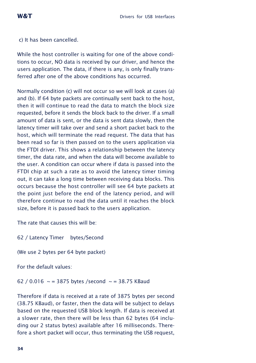c) It has been cancelled.

While the host controller is waiting for one of the above conditions to occur, NO data is received by our driver, and hence the users application. The data, if there is any, is only finally transferred after one of the above conditions has occurred.

Normally condition (c) will not occur so we will look at cases (a) and (b). If 64 byte packets are continually sent back to the host, then it will continue to read the data to match the block size requested, before it sends the block back to the driver. If a small amount of data is sent, or the data is sent data slowly, then the latency timer will take over and send a short packet back to the host, which will terminate the read request. The data that has been read so far is then passed on to the users application via the FTDI driver. This shows a relationship between the latency timer, the data rate, and when the data will become available to the user. A condition can occur where if data is passed into the FTDI chip at such a rate as to avoid the latency timer timing out, it can take a long time between receiving data blocks. This occurs because the host controller will see 64 byte packets at the point just before the end of the latency period, and will therefore continue to read the data until it reaches the block size, before it is passed back to the users application.

The rate that causes this will be:

62 / Latency Timer bytes/Second

(We use 2 bytes per 64 byte packet)

For the default values:

62 / 0.016  $\sim$  = 3875 bytes /second  $\sim$  = 38.75 KBaud

Therefore if data is received at a rate of 3875 bytes per second (38.75 KBaud), or faster, then the data will be subject to delays based on the requested USB block length. If data is received at a slower rate, then there will be less than 62 bytes (64 including our 2 status bytes) available after 16 milliseconds. Therefore a short packet will occur, thus terminating the USB request,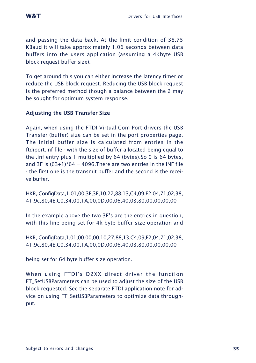and passing the data back. At the limit condition of 38.75 KBaud it will take approximately 1.06 seconds between data buffers into the users application (assuming a 4Kbyte USB block request buffer size).

To get around this you can either increase the latency timer or reduce the USB block request. Reducing the USB block request is the preferred method though a balance between the 2 may be sought for optimum system response.

# **Adjusting the USB Transfer Size**

Again, when using the FTDI Virtual Com Port drivers the USB Transfer (buffer) size can be set in the port properties page. The initial buffer size is calculated from entries in the ftdiport.inf file - with the size of buffer allocated being equal to the .inf entry plus 1 multiplied by 64 (bytes).So 0 is 64 bytes, and 3F is  $(63+1)*64 = 4096$ . There are two entries in the INF file - the first one is the transmit buffer and the second is the receive buffer.

HKR,,ConfigData,1,01,00,3F,3F,10,27,88,13,C4,09,E2,04,71,02,38, 41,9c,80,4E,C0,34,00,1A,00,0D,00,06,40,03,80,00,00,00,00

In the example above the two 3F's are the entries in question, with this line being set for 4k byte buffer size operation and

HKR,,ConfigData,1,01,00,00,00,10,27,88,13,C4,09,E2,04,71,02,38, 41,9c,80,4E,C0,34,00,1A,00,0D,00,06,40,03,80,00,00,00,00

being set for 64 byte buffer size operation.

When using FTDI's D2XX direct driver the function FT\_SetUSBParameters can be used to adjust the size of the USB block requested. See the separate FTDI application note for advice on using FT\_SetUSBParameters to optimize data throughput.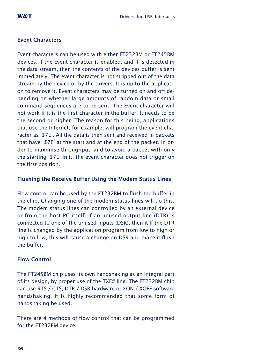# **Event Characters**

Event characters can be used with either FT232BM or FT245BM devices. If the Event character is enabled, and it is detected in the data stream, then the contents of the devices buffer is sent immediately. The event character is not stripped out of the data stream by the device or by the drivers. It is up to the application to remove it. Event characters may be turned on and off depending on whether large amounts of random data or small command sequences are to be sent. The Event character will not work if it is the first character in the buffer. It needs to be the second or higher. The reason for this being, applications that use the Internet, for example, will program the event character as '\$7E'. All the data is then sent and received in packets that have '\$7E' at the start and at the end of the packet. In order to maximise throughput, and to avoid a packet with only the starting '\$7E' in it, the event character does not trigger on the first position.

# **Flushing the Receive Buffer Using the Modem Status Lines**

Flow control can be used by the FT232BM to flush the buffer in the chip. Changing one of the modem status lines will do this. The modem status lines can controlled by an external device or from the host PC itself. If an unused output line (DTR) is connected to one of the unused inputs (DSR), then it If the DTR line is changed by the application program from low to high or high to low, this will cause a change on DSR and make it flush the buffer.

#### **Flow Control**

The FT245BM chip uses its own handshaking as an integral part of its design, by proper use of the TXE# line. The FT232BM chip can use RTS / CTS, DTR / DSR hardware or XON / XOFF software handshaking. It is highly recommended that some form of handshaking be used.

There are 4 methods of flow control that can be programmed for the FT232BM device.